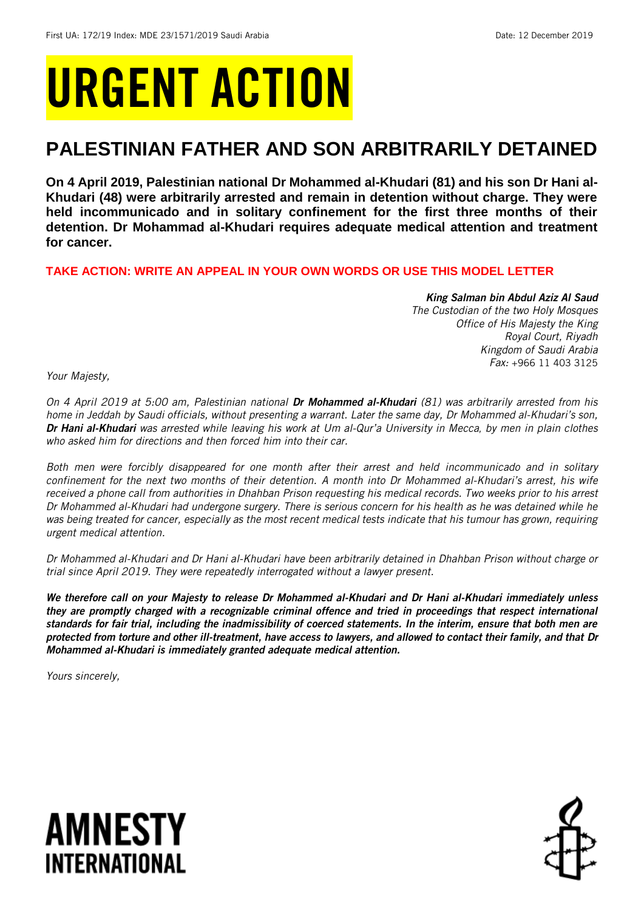# URGENT ACTION

## **PALESTINIAN FATHER AND SON ARBITRARILY DETAINED**

**On 4 April 2019, Palestinian national Dr Mohammed al-Khudari (81) and his son Dr Hani al-Khudari (48) were arbitrarily arrested and remain in detention without charge. They were held incommunicado and in solitary confinement for the first three months of their detention. Dr Mohammad al-Khudari requires adequate medical attention and treatment for cancer.** 

**TAKE ACTION: WRITE AN APPEAL IN YOUR OWN WORDS OR USE THIS MODEL LETTER**

#### *King Salman bin Abdul Aziz Al Saud*

*The Custodian of the two Holy Mosques Office of His Majesty the King Royal Court, Riyadh Kingdom of Saudi Arabia Fax:* +966 11 403 3125

*Your Majesty,*

*On 4 April 2019 at 5:00 am, Palestinian national Dr Mohammed al-Khudari (81) was arbitrarily arrested from his home in Jeddah by Saudi officials, without presenting a warrant. Later the same day, Dr Mohammed al-Khudari's son, Dr Hani al-Khudari was arrested while leaving his work at Um al-Qur'a University in Mecca, by men in plain clothes who asked him for directions and then forced him into their car.*

*Both men were forcibly disappeared for one month after their arrest and held incommunicado and in solitary confinement for the next two months of their detention. A month into Dr Mohammed al-Khudari's arrest, his wife received a phone call from authorities in Dhahban Prison requesting his medical records. Two weeks prior to his arrest Dr Mohammed al-Khudari had undergone surgery. There is serious concern for his health as he was detained while he was being treated for cancer, especially as the most recent medical tests indicate that his tumour has grown, requiring urgent medical attention.*

*Dr Mohammed al-Khudari and Dr Hani al-Khudari have been arbitrarily detained in Dhahban Prison without charge or trial since April 2019. They were repeatedly interrogated without a lawyer present.*

*We therefore call on your Majesty to release Dr Mohammed al-Khudari and Dr Hani al-Khudari immediately unless they are promptly charged with a recognizable criminal offence and tried in proceedings that respect international standards for fair trial, including the inadmissibility of coerced statements. In the interim, ensure that both men are protected from torture and other ill-treatment, have access to lawyers, and allowed to contact their family, and that Dr Mohammed al-Khudari is immediately granted adequate medical attention.*

*Yours sincerely,*